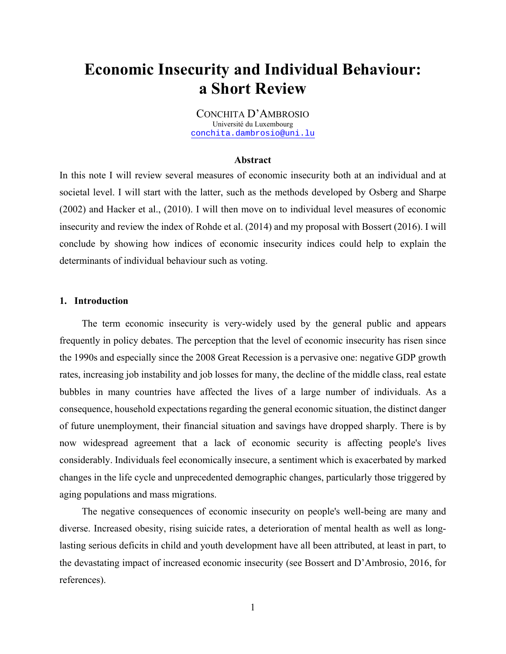# **Economic Insecurity and Individual Behaviour: a Short Review**

CONCHITA D'AMBROSIO Université du Luxembourg conchita.dambrosio@uni.lu

#### **Abstract**

In this note I will review several measures of economic insecurity both at an individual and at societal level. I will start with the latter, such as the methods developed by Osberg and Sharpe (2002) and Hacker et al., (2010). I will then move on to individual level measures of economic insecurity and review the index of Rohde et al. (2014) and my proposal with Bossert (2016). I will conclude by showing how indices of economic insecurity indices could help to explain the determinants of individual behaviour such as voting.

### **1. Introduction**

The term economic insecurity is very-widely used by the general public and appears frequently in policy debates. The perception that the level of economic insecurity has risen since the 1990s and especially since the 2008 Great Recession is a pervasive one: negative GDP growth rates, increasing job instability and job losses for many, the decline of the middle class, real estate bubbles in many countries have affected the lives of a large number of individuals. As a consequence, household expectations regarding the general economic situation, the distinct danger of future unemployment, their financial situation and savings have dropped sharply. There is by now widespread agreement that a lack of economic security is affecting people's lives considerably. Individuals feel economically insecure, a sentiment which is exacerbated by marked changes in the life cycle and unprecedented demographic changes, particularly those triggered by aging populations and mass migrations.

The negative consequences of economic insecurity on people's well-being are many and diverse. Increased obesity, rising suicide rates, a deterioration of mental health as well as longlasting serious deficits in child and youth development have all been attributed, at least in part, to the devastating impact of increased economic insecurity (see Bossert and D'Ambrosio, 2016, for references).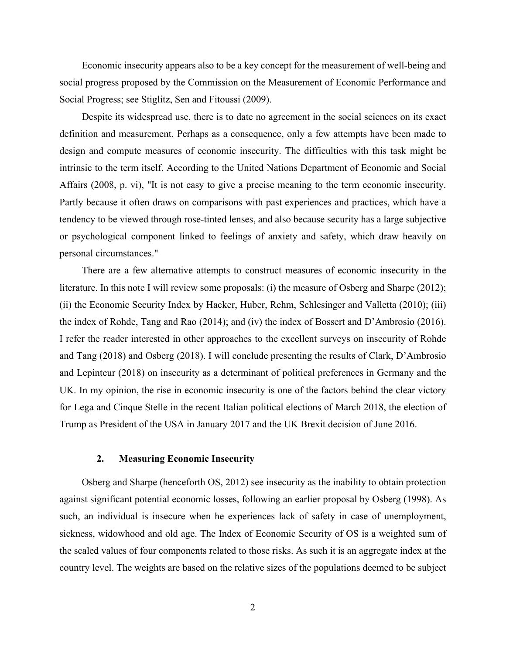Economic insecurity appears also to be a key concept for the measurement of well-being and social progress proposed by the Commission on the Measurement of Economic Performance and Social Progress; see Stiglitz, Sen and Fitoussi (2009).

Despite its widespread use, there is to date no agreement in the social sciences on its exact definition and measurement. Perhaps as a consequence, only a few attempts have been made to design and compute measures of economic insecurity. The difficulties with this task might be intrinsic to the term itself. According to the United Nations Department of Economic and Social Affairs (2008, p. vi), "It is not easy to give a precise meaning to the term economic insecurity. Partly because it often draws on comparisons with past experiences and practices, which have a tendency to be viewed through rose-tinted lenses, and also because security has a large subjective or psychological component linked to feelings of anxiety and safety, which draw heavily on personal circumstances."

There are a few alternative attempts to construct measures of economic insecurity in the literature. In this note I will review some proposals: (i) the measure of Osberg and Sharpe (2012); (ii) the Economic Security Index by Hacker, Huber, Rehm, Schlesinger and Valletta (2010); (iii) the index of Rohde, Tang and Rao (2014); and (iv) the index of Bossert and D'Ambrosio (2016). I refer the reader interested in other approaches to the excellent surveys on insecurity of Rohde and Tang (2018) and Osberg (2018). I will conclude presenting the results of Clark, D'Ambrosio and Lepinteur (2018) on insecurity as a determinant of political preferences in Germany and the UK. In my opinion, the rise in economic insecurity is one of the factors behind the clear victory for Lega and Cinque Stelle in the recent Italian political elections of March 2018, the election of Trump as President of the USA in January 2017 and the UK Brexit decision of June 2016.

### **2. Measuring Economic Insecurity**

Osberg and Sharpe (henceforth OS, 2012) see insecurity as the inability to obtain protection against significant potential economic losses, following an earlier proposal by Osberg (1998). As such, an individual is insecure when he experiences lack of safety in case of unemployment, sickness, widowhood and old age. The Index of Economic Security of OS is a weighted sum of the scaled values of four components related to those risks. As such it is an aggregate index at the country level. The weights are based on the relative sizes of the populations deemed to be subject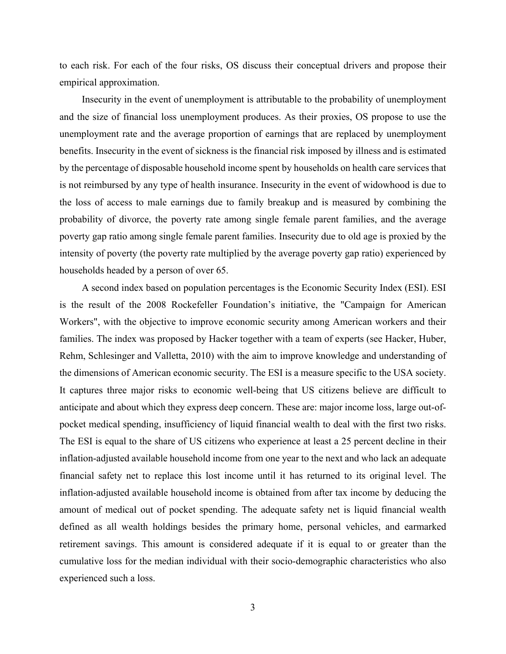to each risk. For each of the four risks, OS discuss their conceptual drivers and propose their empirical approximation.

Insecurity in the event of unemployment is attributable to the probability of unemployment and the size of financial loss unemployment produces. As their proxies, OS propose to use the unemployment rate and the average proportion of earnings that are replaced by unemployment benefits. Insecurity in the event of sickness is the financial risk imposed by illness and is estimated by the percentage of disposable household income spent by households on health care services that is not reimbursed by any type of health insurance. Insecurity in the event of widowhood is due to the loss of access to male earnings due to family breakup and is measured by combining the probability of divorce, the poverty rate among single female parent families, and the average poverty gap ratio among single female parent families. Insecurity due to old age is proxied by the intensity of poverty (the poverty rate multiplied by the average poverty gap ratio) experienced by households headed by a person of over 65.

A second index based on population percentages is the Economic Security Index (ESI). ESI is the result of the 2008 Rockefeller Foundation's initiative, the "Campaign for American Workers", with the objective to improve economic security among American workers and their families. The index was proposed by Hacker together with a team of experts (see Hacker, Huber, Rehm, Schlesinger and Valletta, 2010) with the aim to improve knowledge and understanding of the dimensions of American economic security. The ESI is a measure specific to the USA society. It captures three major risks to economic well-being that US citizens believe are difficult to anticipate and about which they express deep concern. These are: major income loss, large out-ofpocket medical spending, insufficiency of liquid financial wealth to deal with the first two risks. The ESI is equal to the share of US citizens who experience at least a 25 percent decline in their inflation-adjusted available household income from one year to the next and who lack an adequate financial safety net to replace this lost income until it has returned to its original level. The inflation-adjusted available household income is obtained from after tax income by deducing the amount of medical out of pocket spending. The adequate safety net is liquid financial wealth defined as all wealth holdings besides the primary home, personal vehicles, and earmarked retirement savings. This amount is considered adequate if it is equal to or greater than the cumulative loss for the median individual with their socio-demographic characteristics who also experienced such a loss.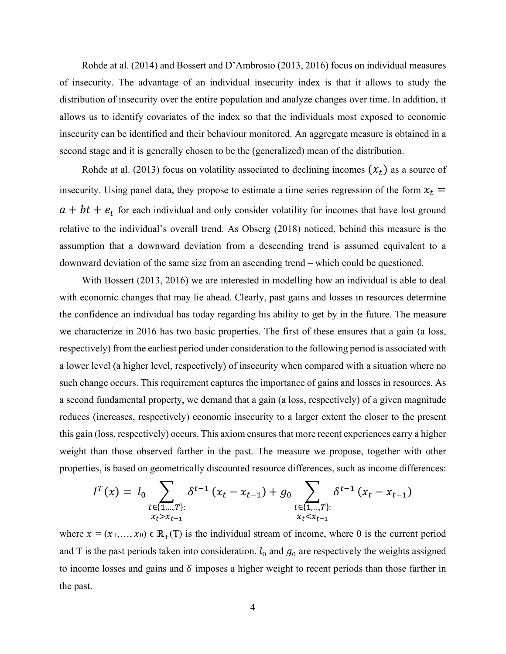Rohde at al. (2014) and Bossert and D'Ambrosio (2013, 2016) focus on individual measures of insecurity. The advantage of an individual insecurity index is that it allows to study the distribution of insecurity over the entire population and analyze changes over time. In addition, it allows us to identify covariates of the index so that the individuals most exposed to economic insecurity can be identified and their behaviour monitored. An aggregate measure is obtained in a second stage and it is generally chosen to be the (generalized) mean of the distribution.

Rohde at al. (2013) focus on volatility associated to declining incomes  $(x_t)$  as a source of insecurity. Using panel data, they propose to estimate a time series regression of the form  $x_t =$  $a + bt + e_t$  for each individual and only consider volatility for incomes that have lost ground relative to the individual's overall trend. As Obserg (2018) noticed, behind this measure is the assumption that a downward deviation from a descending trend is assumed equivalent to a downward deviation of the same size from an ascending trend – which could be questioned.

With Bossert (2013, 2016) we are interested in modelling how an individual is able to deal with economic changes that may lie ahead. Clearly, past gains and losses in resources determine the confidence an individual has today regarding his ability to get by in the future. The measure we characterize in 2016 has two basic properties. The first of these ensures that a gain (a loss, respectively) from the earliest period under consideration to the following period is associated with a lower level (a higher level, respectively) of insecurity when compared with a situation where no such change occurs. This requirement captures the importance of gains and losses in resources. As a second fundamental property, we demand that a gain (a loss, respectively) of a given magnitude reduces (increases, respectively) economic insecurity to a larger extent the closer to the present this gain (loss, respectively) occurs. This axiom ensures that more recent experiences carry a higher weight than those observed farther in the past. The measure we propose, together with other properties, is based on geometrically discounted resource differences, such as income differences:

$$
I^{T}(x) = l_{0} \sum_{\substack{t \in \{1, \ldots, T\}: \\ x_{t} > x_{t-1}}} \delta^{t-1} (x_{t} - x_{t-1}) + g_{0} \sum_{\substack{t \in \{1, \ldots, T\}: \\ x_{t} < x_{t-1}}} \delta^{t-1} (x_{t} - x_{t-1})
$$

where  $x = (x_T,...,x_0) \in \mathbb{R}_+$  (T) is the individual stream of income, where 0 is the current period and T is the past periods taken into consideration.  $l_0$  and  $g_0$  are respectively the weights assigned to income losses and gains and  $\delta$  imposes a higher weight to recent periods than those farther in the past.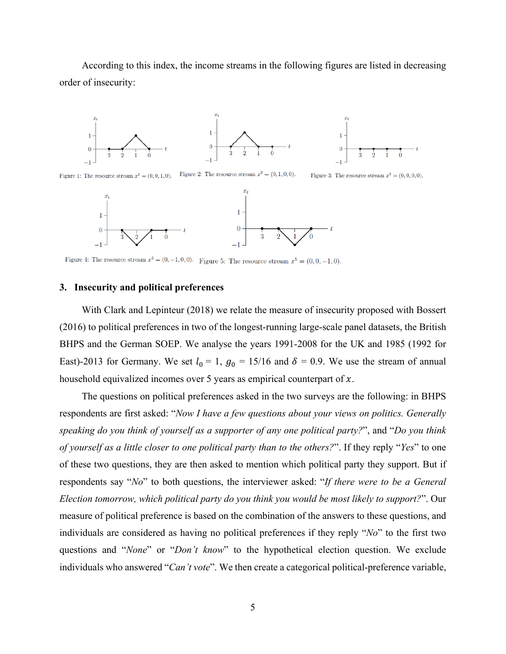According to this index, the income streams in the following figures are listed in decreasing order of insecurity:



Figure 2: The resource stream  $x^2 = (0, 1, 0, 0)$ . Figure 1: The resource stream  $x^1 = (0, 0, 1, 0)$ . Figure 3: The resource stream  $x^3 = (0, 0, 0, 0)$ .



Figure 4: The resource stream  $x^4 = (0, -1, 0, 0)$ . Figure 5: The resource stream  $x^5 = (0, 0, -1, 0)$ .

## **3. Insecurity and political preferences**

With Clark and Lepinteur (2018) we relate the measure of insecurity proposed with Bossert (2016) to political preferences in two of the longest-running large-scale panel datasets, the British BHPS and the German SOEP. We analyse the years 1991-2008 for the UK and 1985 (1992 for East)-2013 for Germany. We set  $l_0 = 1$ ,  $g_0 = 15/16$  and  $\delta = 0.9$ . We use the stream of annual household equivalized incomes over 5 years as empirical counterpart of  $x$ .

The questions on political preferences asked in the two surveys are the following: in BHPS respondents are first asked: "*Now I have a few questions about your views on politics. Generally speaking do you think of yourself as a supporter of any one political party?*", and "*Do you think of yourself as a little closer to one political party than to the others?*". If they reply "*Yes*" to one of these two questions, they are then asked to mention which political party they support. But if respondents say "*No*" to both questions, the interviewer asked: "*If there were to be a General Election tomorrow, which political party do you think you would be most likely to support?*". Our measure of political preference is based on the combination of the answers to these questions, and individuals are considered as having no political preferences if they reply "*No*" to the first two questions and "*None*" or "*Don't know*" to the hypothetical election question. We exclude individuals who answered "*Can't vote*". We then create a categorical political-preference variable,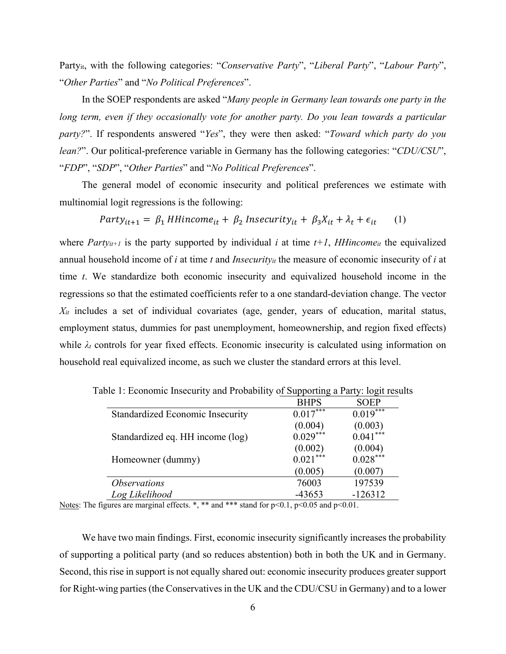Partyit, with the following categories: "*Conservative Party*", "*Liberal Party*", "*Labour Party*", "*Other Parties*" and "*No Political Preferences*".

In the SOEP respondents are asked "*Many people in Germany lean towards one party in the long term, even if they occasionally vote for another party. Do you lean towards a particular party?*". If respondents answered "*Yes*", they were then asked: "*Toward which party do you lean?*". Our political-preference variable in Germany has the following categories: "*CDU/CSU*", "*FDP*", "*SDP*", "*Other Parties*" and "*No Political Preferences*".

The general model of economic insecurity and political preferences we estimate with multinomial logit regressions is the following:

 $Party_{it+1} = \beta_1$  HHincome<sub>it</sub> +  $\beta_2$  Insecurity<sub>it</sub> +  $\beta_3 X_{it} + \lambda_t + \epsilon_{it}$  (1)

where *Party<sub>it+1</sub>* is the party supported by individual *i* at time  $t+1$ , *HHincome<sub>it</sub>* the equivalized annual household income of *i* at time *t* and *Insecurityit* the measure of economic insecurity of *i* at time *t*. We standardize both economic insecurity and equivalized household income in the regressions so that the estimated coefficients refer to a one standard-deviation change. The vector *Xit* includes a set of individual covariates (age, gender, years of education, marital status, employment status, dummies for past unemployment, homeownership, and region fixed effects) while  $\lambda_t$  controls for year fixed effects. Economic insecurity is calculated using information on household real equivalized income, as such we cluster the standard errors at this level.

|                                         | <b>BHPS</b> | <b>SOEP</b> |
|-----------------------------------------|-------------|-------------|
| <b>Standardized Economic Insecurity</b> | $0.017***$  | $0.019***$  |
|                                         | (0.004)     | (0.003)     |
| Standardized eq. HH income (log)        | $0.029***$  | $0.041***$  |
|                                         | (0.002)     | (0.004)     |
| Homeowner (dummy)                       | $0.021***$  | $0.028***$  |
|                                         | (0.005)     | (0.007)     |
| <i><b>Observations</b></i>              | 76003       | 197539      |
| Log Likelihood                          | $-43653$    | $-126312$   |

Table 1: Economic Insecurity and Probability of Supporting a Party: logit results

Notes: The figures are marginal effects. \*, \*\* and \*\*\* stand for  $p<0.1$ ,  $p<0.05$  and  $p<0.01$ .

We have two main findings. First, economic insecurity significantly increases the probability of supporting a political party (and so reduces abstention) both in both the UK and in Germany. Second, this rise in support is not equally shared out: economic insecurity produces greater support for Right-wing parties (the Conservatives in the UK and the CDU/CSU in Germany) and to a lower